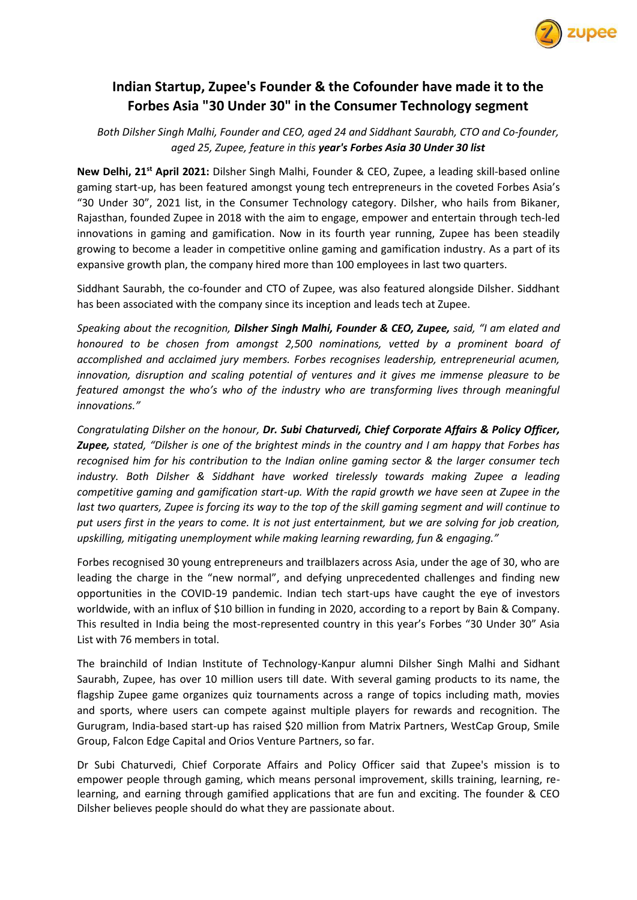

## **Indian Startup, Zupee's Founder & the Cofounder have made it to the [Forbes Asia](https://twitter.com/ForbesAsia) "30 Under 30" in the Consumer Technology segment**

*Both Dilsher Singh Malhi, Founder and CEO, aged 24 and Siddhant Saurabh, CTO and Co-founder, aged 25, Zupee, feature in this year's Forbes Asia 30 Under 30 list*

**New Delhi, 21st April 2021:** Dilsher Singh Malhi, Founder & CEO, Zupee, a leading skill-based online gaming start-up, has been featured amongst young tech entrepreneurs in the coveted Forbes Asia's "30 Under 30", 2021 list, in the Consumer Technology category. Dilsher, who hails from Bikaner, Rajasthan, founded Zupee in 2018 with the aim to engage, empower and entertain through tech-led innovations in gaming and gamification. Now in its fourth year running, Zupee has been steadily growing to become a leader in competitive online gaming and gamification industry. As a part of its expansive growth plan, the company hired more than 100 employees in last two quarters.

Siddhant Saurabh, the co-founder and CTO of Zupee, was also featured alongside Dilsher. Siddhant has been associated with the company since its inception and leads tech at Zupee.

*Speaking about the recognition, Dilsher Singh Malhi, Founder & CEO, Zupee, said, "I am elated and honoured to be chosen from amongst 2,500 nominations, vetted by a prominent board of accomplished and acclaimed jury members. Forbes recognises leadership, entrepreneurial acumen, innovation, disruption and scaling potential of ventures and it gives me immense pleasure to be featured amongst the who's who of the industry who are transforming lives through meaningful innovations."*

*Congratulating Dilsher on the honour, Dr. Subi Chaturvedi, Chief Corporate Affairs & Policy Officer, Zupee, stated, "Dilsher is one of the brightest minds in the country and I am happy that Forbes has recognised him for his contribution to the Indian online gaming sector & the larger consumer tech industry. Both Dilsher & Siddhant have worked tirelessly towards making Zupee a leading competitive gaming and gamification start-up. With the rapid growth we have seen at Zupee in the last two quarters, Zupee is forcing its way to the top of the skill gaming segment and will continue to put users first in the years to come. It is not just entertainment, but we are solving for job creation, upskilling, mitigating unemployment while making learning rewarding, fun & engaging."*

Forbes recognised 30 young entrepreneurs and trailblazers across Asia, under the age of 30, who are leading the charge in the "new normal", and defying unprecedented challenges and finding new opportunities in the COVID-19 pandemic. Indian tech start-ups have caught the eye of investors worldwide, with an influx of \$10 billion in funding in 2020, according to a report by Bain & Company. This resulted in India being the most-represented country in this year's Forbes "30 Under 30" Asia List with 76 members in total.

The brainchild of Indian Institute of Technology-Kanpur alumni Dilsher Singh Malhi and Sidhant Saurabh, Zupee, has over 10 million users till date. With several gaming products to its name, the flagship Zupee game organizes quiz tournaments across a range of topics including math, movies and sports, where users can compete against multiple players for rewards and recognition. The Gurugram, India-based start-up has raised \$20 million from Matrix Partners, WestCap Group, Smile Group, Falcon Edge Capital and Orios Venture Partners, so far.

Dr Subi Chaturvedi, Chief Corporate Affairs and Policy Officer said that Zupee's mission is to empower people through gaming, which means personal improvement, skills training, learning, relearning, and earning through gamified applications that are fun and exciting. The founder & CEO Dilsher believes people should do what they are passionate about.